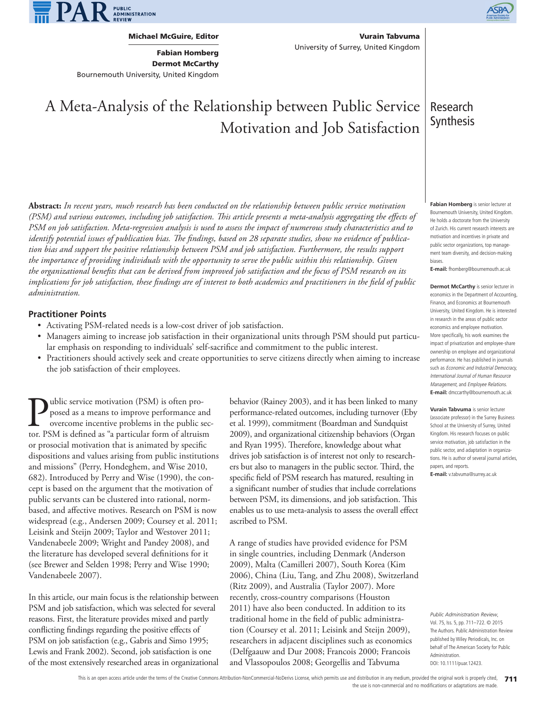

**Michael McGuire, Editor**

**Fabian Homberg Dermot McCarthy**

Bournemouth University, United Kingdom

**Vurain Tabvuma** University of Surrey, United Kingdom

# A Meta-Analysis of the Relationship between Public Service Motivation and Job Satisfaction

**Abstract:** *In recent years, much research has been conducted on the relationship between public service motivation (PSM) and various outcomes, including job satisfaction. This article presents a meta-analysis aggregating the effects of PSM on job satisfaction. Meta-regression analysis is used to assess the impact of numerous study characteristics and to*  identify potential issues of publication bias. The findings, based on 28 separate studies, show no evidence of publica*tion bias and support the positive relationship between PSM and job satisfaction. Furthermore, the results support the importance of providing individuals with the opportunity to serve the public within this relationship. Given the organizational benefi ts that can be derived from improved job satisfaction and the focus of PSM research on its*  implications for job satisfaction, these findings are of interest to both academics and practitioners in the field of public *administration.*

#### **Practitioner Points**

- Activating PSM-related needs is a low-cost driver of job satisfaction.
- Managers aiming to increase job satisfaction in their organizational units through PSM should put particular emphasis on responding to individuals' self-sacrifice and commitment to the public interest.
- Practitioners should actively seek and create opportunities to serve citizens directly when aiming to increase the job satisfaction of their employees.

**Public service motivation (PSM) is often proposed as a means to improve performance and overcome incentive problems in the public s<br>tor. PSM is defined as "a particular form of altruism** posed as a means to improve performance and overcome incentive problems in the public sector. PSM is defined as "a particular form of altruism or prosocial motivation that is animated by specific dispositions and values arising from public institutions and missions" (Perry, Hondeghem, and Wise 2010, 682). Introduced by Perry and Wise (1990), the concept is based on the argument that the motivation of public servants can be clustered into rational, normbased, and affective motives. Research on PSM is now widespread (e.g., Andersen 2009; Coursey et al. 2011; Leisink and Steijn 2009; Taylor and Westover 2011; Vandenabeele 2009; Wright and Pandey 2008), and the literature has developed several definitions for it (see Brewer and Selden 1998; Perry and Wise 1990; Vandenabeele 2007).

In this article, our main focus is the relationship between PSM and job satisfaction, which was selected for several reasons. First, the literature provides mixed and partly conflicting findings regarding the positive effects of PSM on job satisfaction (e.g., Gabris and Simo 1995; Lewis and Frank 2002). Second, job satisfaction is one of the most extensively researched areas in organizational

behavior (Rainey 2003), and it has been linked to many performance-related outcomes, including turnover (Eby et al. 1999), commitment (Boardman and Sundquist 2009), and organizational citizenship behaviors (Organ and Ryan 1995). Therefore, knowledge about what drives job satisfaction is of interest not only to researchers but also to managers in the public sector. Third, the specific field of PSM research has matured, resulting in a significant number of studies that include correlations between PSM, its dimensions, and job satisfaction. This enables us to use meta-analysis to assess the overall effect ascribed to PSM.

A range of studies have provided evidence for PSM in single countries, including Denmark (Anderson 2009), Malta (Camilleri 2007), South Korea (Kim 2006), China (Liu, Tang, and Zhu 2008), Switzerland (Ritz 2009), and Australia (Taylor 2007). More recently, cross-country comparisons (Houston 2011) have also been conducted. In addition to its traditional home in the field of public administration (Coursey et al. 2011; Leisink and Steijn 2009), researchers in adjacent disciplines such as economics (Delfgaauw and Dur 2008; Francois 2000; Francois and Vlassopoulos 2008; Georgellis and Tabvuma



# Research Synthesis

**Fabian Homberg** is senior lecturer at Bournemouth University, United Kingdom. He holds a doctorate from the University of Zurich. His current research interests are motivation and incentives in private and public sector organizations, top management team diversity, and decision-making biases.

**E-mail:** fhomberg@bournemouth.ac.uk

**Dermot McCarthy** is senior lecturer in economics in the Department of Accounting, Finance, and Economics at Bournemouth University, United Kingdom. He is interested in research in the areas of public sector economics and employee motivation. More specifically, his work examines the impact of privatization and employee-share ownership on employee and organizational performance. He has published in journals such as Economic and Industrial Democracy, International Journal of Human Resource Management, and Employee Relations. **E-mail:** dmccarthy@bournemouth.ac.uk

**Vurain Tabvuma** is senior lecturer (associate professor) in the Surrey Business School at the University of Surrey, United Kingdom. His research focuses on public service motivation, job satisfaction in the public sector, and adaptation in organizations. He is author of several journal articles, papers, and reports. **E-mail:** v.tabvuma@surrey.ac.uk

*Public Administration Review*, Vol. 75, Iss. 5, pp. 711–722. © 2015 The Authors. Public Administration Review published by Wiley Periodicals, Inc. on behalf of The American Society for Public Administration. DOI: 10.1111/puar.12423.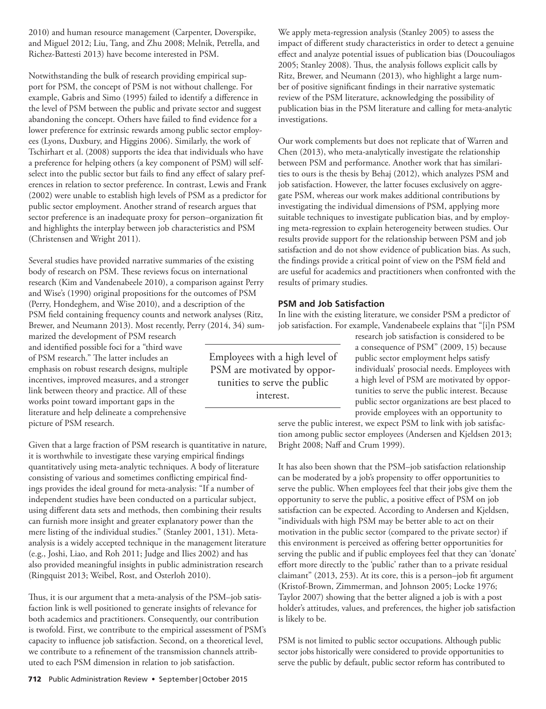2010) and human resource management (Carpenter, Doverspike, and Miguel 2012; Liu, Tang, and Zhu 2008; Melnik, Petrella, and Richez-Battesti 2013) have become interested in PSM.

Notwithstanding the bulk of research providing empirical support for PSM, the concept of PSM is not without challenge. For example, Gabris and Simo (1995) failed to identify a difference in the level of PSM between the public and private sector and suggest abandoning the concept. Others have failed to find evidence for a lower preference for extrinsic rewards among public sector employees (Lyons, Duxbury, and Higgins 2006). Similarly, the work of Tschirhart et al. (2008) supports the idea that individuals who have a preference for helping others (a key component of PSM) will selfselect into the public sector but fails to find any effect of salary preferences in relation to sector preference. In contrast, Lewis and Frank (2002) were unable to establish high levels of PSM as a predictor for public sector employment. Another strand of research argues that sector preference is an inadequate proxy for person-organization fit and highlights the interplay between job characteristics and PSM (Christensen and Wright 2011).

Several studies have provided narrative summaries of the existing body of research on PSM. These reviews focus on international research (Kim and Vandenabeele 2010), a comparison against Perry and Wise's (1990) original propositions for the outcomes of PSM (Perry, Hondeghem, and Wise 2010), and a description of the PSM field containing frequency counts and network analyses (Ritz, Brewer, and Neumann 2013). Most recently, Perry (2014, 34) sum-

marized the development of PSM research and identified possible foci for a "third wave of PSM research." The latter includes an emphasis on robust research designs, multiple incentives, improved measures, and a stronger link between theory and practice. All of these works point toward important gaps in the literature and help delineate a comprehensive picture of PSM research.

Given that a large fraction of PSM research is quantitative in nature, it is worthwhile to investigate these varying empirical findings quantitatively using meta-analytic techniques. A body of literature consisting of various and sometimes conflicting empirical findings provides the ideal ground for meta-analysis: "If a number of independent studies have been conducted on a particular subject, using different data sets and methods, then combining their results can furnish more insight and greater explanatory power than the mere listing of the individual studies." (Stanley 2001, 131). Metaanalysis is a widely accepted technique in the management literature (e.g., Joshi, Liao, and Roh 2011; Judge and Ilies 2002) and has also provided meaningful insights in public administration research (Ringquist 2013; Weibel, Rost, and Osterloh 2010).

Thus, it is our argument that a meta-analysis of the PSM-job satisfaction link is well positioned to generate insights of relevance for both academics and practitioners. Consequently, our contribution is twofold. First, we contribute to the empirical assessment of PSM's capacity to influence job satisfaction. Second, on a theoretical level, we contribute to a refinement of the transmission channels attributed to each PSM dimension in relation to job satisfaction.

We apply meta-regression analysis (Stanley 2005) to assess the impact of different study characteristics in order to detect a genuine effect and analyze potential issues of publication bias (Doucouliagos 2005; Stanley 2008). Thus, the analysis follows explicit calls by Ritz, Brewer, and Neumann (2013), who highlight a large number of positive significant findings in their narrative systematic review of the PSM literature, acknowledging the possibility of publication bias in the PSM literature and calling for meta-analytic investigations.

Our work complements but does not replicate that of Warren and Chen (2013), who meta-analytically investigate the relationship between PSM and performance. Another work that has similarities to ours is the thesis by Behaj (2012), which analyzes PSM and job satisfaction. However, the latter focuses exclusively on aggregate PSM, whereas our work makes additional contributions by investigating the individual dimensions of PSM, applying more suitable techniques to investigate publication bias, and by employing meta-regression to explain heterogeneity between studies. Our results provide support for the relationship between PSM and job satisfaction and do not show evidence of publication bias. As such, the findings provide a critical point of view on the PSM field and are useful for academics and practitioners when confronted with the results of primary studies.

#### **PSM and Job Satisfaction**

In line with the existing literature, we consider PSM a predictor of job satisfaction. For example, Vandenabeele explains that "[i]n PSM

Employees with a high level of PSM are motivated by opportunities to serve the public interest.

research job satisfaction is considered to be a consequence of PSM" (2009, 15) because public sector employment helps satisfy individuals' prosocial needs. Employees with a high level of PSM are motivated by opportunities to serve the public interest. Because public sector organizations are best placed to provide employees with an opportunity to

serve the public interest, we expect PSM to link with job satisfaction among public sector employees (Andersen and Kjeldsen 2013; Bright 2008; Naff and Crum 1999).

It has also been shown that the PSM–job satisfaction relationship can be moderated by a job's propensity to offer opportunities to serve the public. When employees feel that their jobs give them the opportunity to serve the public, a positive effect of PSM on job satisfaction can be expected. According to Andersen and Kjeldsen, "individuals with high PSM may be better able to act on their motivation in the public sector (compared to the private sector) if this environment is perceived as offering better opportunities for serving the public and if public employees feel that they can 'donate' effort more directly to the 'public' rather than to a private residual claimant" (2013, 253). At its core, this is a person-job fit argument (Kristof-Brown, Zimmerman, and Johnson 2005; Locke 1976; Taylor 2007) showing that the better aligned a job is with a post holder's attitudes, values, and preferences, the higher job satisfaction is likely to be.

PSM is not limited to public sector occupations. Although public sector jobs historically were considered to provide opportunities to serve the public by default, public sector reform has contributed to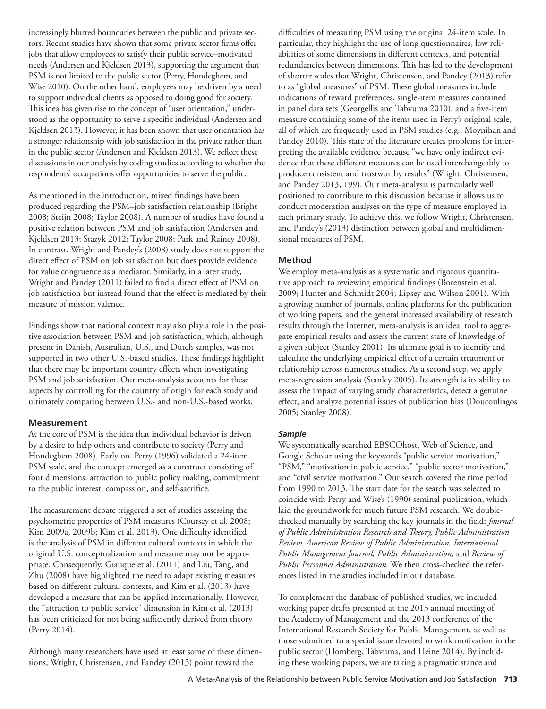increasingly blurred boundaries between the public and private sectors. Recent studies have shown that some private sector firms offer jobs that allow employees to satisfy their public service–motivated needs (Andersen and Kjeldsen 2013), supporting the argument that PSM is not limited to the public sector (Perry, Hondeghem, and Wise 2010). On the other hand, employees may be driven by a need to support individual clients as opposed to doing good for society. This idea has given rise to the concept of "user orientation," understood as the opportunity to serve a specific individual (Andersen and Kjeldsen 2013). However, it has been shown that user orientation has a stronger relationship with job satisfaction in the private rather than in the public sector (Andersen and Kjeldsen 2013). We reflect these discussions in our analysis by coding studies according to whether the respondents' occupations offer opportunities to serve the public.

As mentioned in the introduction, mixed findings have been produced regarding the PSM–job satisfaction relationship (Bright 2008; Steijn 2008; Taylor 2008). A number of studies have found a positive relation between PSM and job satisfaction (Andersen and Kjeldsen 2013; Stazyk 2012; Taylor 2008; Park and Rainey 2008). In contrast, Wright and Pandey's (2008) study does not support the direct effect of PSM on job satisfaction but does provide evidence for value congruence as a mediator. Similarly, in a later study, Wright and Pandey (2011) failed to find a direct effect of PSM on job satisfaction but instead found that the effect is mediated by their measure of mission valence.

Findings show that national context may also play a role in the positive association between PSM and job satisfaction, which, although present in Danish, Australian, U.S., and Dutch samples, was not supported in two other U.S.-based studies. These findings highlight that there may be important country effects when investigating PSM and job satisfaction. Our meta-analysis accounts for these aspects by controlling for the country of origin for each study and ultimately comparing between U.S.- and non-U.S.-based works.

#### **Measurement**

At the core of PSM is the idea that individual behavior is driven by a desire to help others and contribute to society (Perry and Hondeghem 2008). Early on, Perry (1996) validated a 24-item PSM scale, and the concept emerged as a construct consisting of four dimensions: attraction to public policy making, commitment to the public interest, compassion, and self-sacrifice.

The measurement debate triggered a set of studies assessing the psychometric properties of PSM measures (Coursey et al. 2008; Kim 2009a, 2009b; Kim et al. 2013). One difficulty identified is the analysis of PSM in different cultural contexts in which the original U.S. conceptualization and measure may not be appropriate. Consequently, Giauque et al. (2011) and Liu, Tang, and Zhu (2008) have highlighted the need to adapt existing measures based on different cultural contexts, and Kim et al. (2013) have developed a measure that can be applied internationally. However, the "attraction to public service" dimension in Kim et al. (2013) has been criticized for not being sufficiently derived from theory (Perry 2014).

Although many researchers have used at least some of these dimensions, Wright, Christensen, and Pandey (2013) point toward the

difficulties of measuring PSM using the original 24-item scale. In particular, they highlight the use of long questionnaires, low reliabilities of some dimensions in different contexts, and potential redundancies between dimensions. This has led to the development of shorter scales that Wright, Christensen, and Pandey (2013) refer to as "global measures" of PSM. These global measures include indications of reward preferences, single-item measures contained in panel data sets (Georgellis and Tabvuma 2010), and a five-item measure containing some of the items used in Perry's original scale, all of which are frequently used in PSM studies (e.g., Moynihan and Pandey 2010). This state of the literature creates problems for interpreting the available evidence because "we have only indirect evidence that these different measures can be used interchangeably to produce consistent and trustworthy results" (Wright, Christensen, and Pandey 2013, 199). Our meta-analysis is particularly well positioned to contribute to this discussion because it allows us to conduct moderation analyses on the type of measure employed in each primary study. To achieve this, we follow Wright, Christensen, and Pandey's (2013) distinction between global and multidimensional measures of PSM.

# **Method**

We employ meta-analysis as a systematic and rigorous quantitative approach to reviewing empirical findings (Borenstein et al. 2009; Hunter and Schmidt 2004; Lipsey and Wilson 2001). With a growing number of journals, online platforms for the publication of working papers, and the general increased availability of research results through the Internet, meta-analysis is an ideal tool to aggregate empirical results and assess the current state of knowledge of a given subject (Stanley 2001). Its ultimate goal is to identify and calculate the underlying empirical effect of a certain treatment or relationship across numerous studies. As a second step, we apply meta-regression analysis (Stanley 2005). Its strength is its ability to assess the impact of varying study characteristics, detect a genuine effect, and analyze potential issues of publication bias (Doucouliagos 2005; Stanley 2008).

#### *Sample*

We systematically searched EBSCOhost, Web of Science, and Google Scholar using the keywords "public service motivation," "PSM," "motivation in public service," "public sector motivation," and "civil service motivation." Our search covered the time period from 1990 to 2013. The start date for the search was selected to coincide with Perry and Wise's (1990) seminal publication, which laid the groundwork for much future PSM research. We doublechecked manually by searching the key journals in the field: *Journal of Public Administration Research and Th eory, Public Administration Review, American Review of Public Administration, International Public Management Journal, Public Administration,* and *Review of Public Personnel Administration.* We then cross-checked the references listed in the studies included in our database.

To complement the database of published studies, we included working paper drafts presented at the 2013 annual meeting of the Academy of Management and the 2013 conference of the International Research Society for Public Management, as well as those submitted to a special issue devoted to work motivation in the public sector (Homberg, Tabvuma, and Heine 2014). By including these working papers, we are taking a pragmatic stance and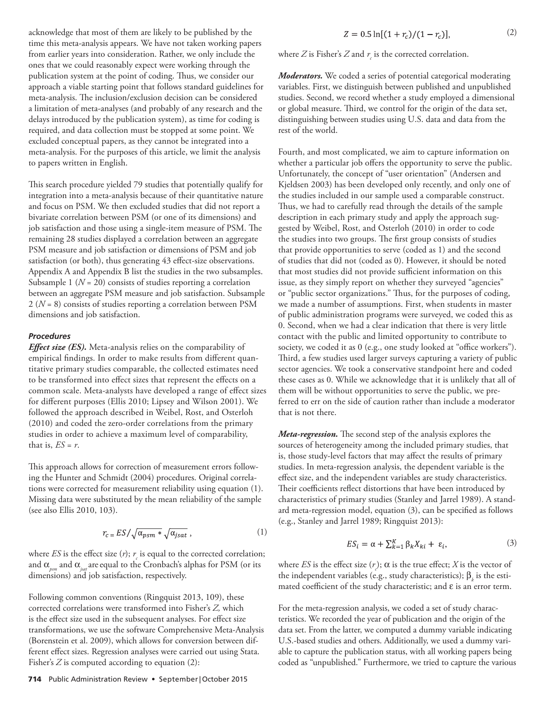acknowledge that most of them are likely to be published by the time this meta-analysis appears. We have not taken working papers from earlier years into consideration. Rather, we only include the ones that we could reasonably expect were working through the publication system at the point of coding. Thus, we consider our approach a viable starting point that follows standard guidelines for meta-analysis. The inclusion/exclusion decision can be considered a limitation of meta-analyses (and probably of any research and the delays introduced by the publication system), as time for coding is required, and data collection must be stopped at some point. We excluded conceptual papers, as they cannot be integrated into a meta-analysis. For the purposes of this article, we limit the analysis to papers written in English.

This search procedure yielded 79 studies that potentially qualify for integration into a meta-analysis because of their quantitative nature and focus on PSM. We then excluded studies that did not report a bivariate correlation between PSM (or one of its dimensions) and job satisfaction and those using a single-item measure of PSM. The remaining 28 studies displayed a correlation between an aggregate PSM measure and job satisfaction or dimensions of PSM and job satisfaction (or both), thus generating 43 effect-size observations. Appendix A and Appendix B list the studies in the two subsamples. Subsample 1 (*N* = 20) consists of studies reporting a correlation between an aggregate PSM measure and job satisfaction. Subsample 2 (*N* = 8) consists of studies reporting a correlation between PSM dimensions and job satisfaction.

#### *Procedures*

*Effect size (ES)*. Meta-analysis relies on the comparability of empirical findings. In order to make results from different quantitative primary studies comparable, the collected estimates need to be transformed into effect sizes that represent the effects on a common scale. Meta-analysts have developed a range of effect sizes for different purposes (Ellis 2010; Lipsey and Wilson 2001). We followed the approach described in Weibel, Rost, and Osterloh (2010) and coded the zero-order correlations from the primary studies in order to achieve a maximum level of comparability, that is,  $ES = r$ .

This approach allows for correction of measurement errors following the Hunter and Schmidt (2004) procedures. Original correlations were corrected for measurement reliability using equation (1). Missing data were substituted by the mean reliability of the sample (see also Ellis 2010, 103).

$$
r_c \equiv ES/\sqrt{\alpha_{psm} * \sqrt{\alpha_{jsat}}} \,, \tag{1}
$$

where *ES* is the effect size  $(r)$ ;  $r_c$  is equal to the corrected correlation; and  $\alpha_{\text{max}}$  and  $\alpha_{\text{max}}$  are equal to the Cronbach's alphas for PSM (or its dimensions) and job satisfaction, respectively.

Following common conventions (Ringquist 2013, 109), these corrected correlations were transformed into Fisher's *Z,* which is the effect size used in the subsequent analyses. For effect size transformations, we use the software Comprehensive Meta-Analysis (Borenstein et al. 2009), which allows for conversion between different effect sizes. Regression analyses were carried out using Stata. Fisher's *Z* is computed according to equation (2):

$$
Z = 0.5 \ln[(1 + r_c)/(1 - r_c)], \tag{2}
$$

where *Z* is Fisher's *Z* and  $r_c$  is the corrected correlation.

*Moderators.* We coded a series of potential categorical moderating variables. First, we distinguish between published and unpublished studies. Second, we record whether a study employed a dimensional or global measure. Third, we control for the origin of the data set, distinguishing between studies using U.S. data and data from the rest of the world.

Fourth, and most complicated, we aim to capture information on whether a particular job offers the opportunity to serve the public. Unfortunately, the concept of "user orientation" (Andersen and Kjeldsen 2003) has been developed only recently, and only one of the studies included in our sample used a comparable construct. Thus, we had to carefully read through the details of the sample description in each primary study and apply the approach suggested by Weibel, Rost, and Osterloh (2010) in order to code the studies into two groups. The first group consists of studies that provide opportunities to serve (coded as 1) and the second of studies that did not (coded as 0). However, it should be noted that most studies did not provide sufficient information on this issue, as they simply report on whether they surveyed "agencies" or "public sector organizations." Thus, for the purposes of coding, we made a number of assumptions. First, when students in master of public administration programs were surveyed, we coded this as 0. Second, when we had a clear indication that there is very little contact with the public and limited opportunity to contribute to society, we coded it as 0 (e.g., one study looked at "office workers"). Third, a few studies used larger surveys capturing a variety of public sector agencies. We took a conservative standpoint here and coded these cases as 0. While we acknowledge that it is unlikely that all of them will be without opportunities to serve the public, we preferred to err on the side of caution rather than include a moderator that is not there.

Meta-regression. The second step of the analysis explores the sources of heterogeneity among the included primary studies, that is, those study-level factors that may affect the results of primary studies. In meta-regression analysis, the dependent variable is the effect size, and the independent variables are study characteristics. Their coefficients reflect distortions that have been introduced by characteristics of primary studies (Stanley and Jarrel 1989). A standard meta-regression model, equation (3), can be specified as follows (e.g., Stanley and Jarrel 1989; Ringquist 2013):

$$
ES_i = \alpha + \sum_{k=1}^{K} \beta_k X_{ki} + \varepsilon_i,\tag{3}
$$

where *ES* is the effect size  $(r)$ ;  $\alpha$  is the true effect; *X* is the vector of the independent variables (e.g., study characteristics);  $\beta_{\scriptscriptstyle{k}}$  is the estimated coefficient of the study characteristic; and  $\varepsilon$  is an error term.

For the meta-regression analysis, we coded a set of study characteristics. We recorded the year of publication and the origin of the data set. From the latter, we computed a dummy variable indicating U.S.-based studies and others. Additionally, we used a dummy variable to capture the publication status, with all working papers being coded as "unpublished." Furthermore, we tried to capture the various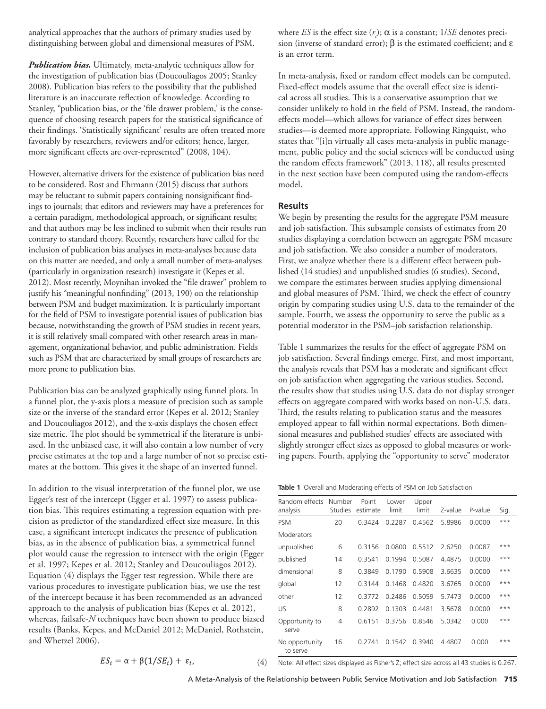analytical approaches that the authors of primary studies used by distinguishing between global and dimensional measures of PSM.

*Publication bias.* Ultimately, meta-analytic techniques allow for the investigation of publication bias (Doucouliagos 2005; Stanley 2008). Publication bias refers to the possibility that the published literature is an inaccurate reflection of knowledge. According to Stanley, "publication bias, or the 'file drawer problem,' is the consequence of choosing research papers for the statistical significance of their findings. 'Statistically significant' results are often treated more favorably by researchers, reviewers and/or editors; hence, larger, more significant effects are over-represented" (2008, 104).

However, alternative drivers for the existence of publication bias need to be considered. Rost and Ehrmann (2015) discuss that authors may be reluctant to submit papers containing nonsignificant findings to journals; that editors and reviewers may have a preferences for a certain paradigm, methodological approach, or significant results; and that authors may be less inclined to submit when their results run contrary to standard theory. Recently, researchers have called for the inclusion of publication bias analyses in meta-analyses because data on this matter are needed, and only a small number of meta-analyses (particularly in organization research) investigate it (Kepes et al. 2012). Most recently, Moynihan invoked the "file drawer" problem to justify his "meaningful nonfinding" (2013, 190) on the relationship between PSM and budget maximization. It is particularly important for the field of PSM to investigate potential issues of publication bias because, notwithstanding the growth of PSM studies in recent years, it is still relatively small compared with other research areas in management, organizational behavior, and public administration. Fields such as PSM that are characterized by small groups of researchers are more prone to publication bias.

Publication bias can be analyzed graphically using funnel plots. In a funnel plot, the y-axis plots a measure of precision such as sample size or the inverse of the standard error (Kepes et al. 2012; Stanley and Doucouliagos 2012), and the x-axis displays the chosen effect size metric. The plot should be symmetrical if the literature is unbiased. In the unbiased case, it will also contain a low number of very precise estimates at the top and a large number of not so precise estimates at the bottom. This gives it the shape of an inverted funnel.

In addition to the visual interpretation of the funnel plot, we use Egger's test of the intercept (Egger et al. 1997) to assess publication bias. This requires estimating a regression equation with precision as predictor of the standardized effect size measure. In this case, a significant intercept indicates the presence of publication bias, as in the absence of publication bias, a symmetrical funnel plot would cause the regression to intersect with the origin (Egger et al. 1997; Kepes et al. 2012; Stanley and Doucouliagos 2012). Equation (4) displays the Egger test regression. While there are various procedures to investigate publication bias, we use the test of the intercept because it has been recommended as an advanced approach to the analysis of publication bias (Kepes et al. 2012), whereas, failsafe-*N* techniques have been shown to produce biased results (Banks, Kepes, and McDaniel 2012; McDaniel, Rothstein, and Whetzel 2006).

$$
ES_i = \alpha + \beta(1/SE_i) + \varepsilon_i, \tag{4}
$$

where *ES* is the effect size  $(r)$ ;  $\alpha$  is a constant;  $1/SE$  denotes precision (inverse of standard error);  $\beta$  is the estimated coefficient; and ε is an error term.

In meta-analysis, fixed or random effect models can be computed. Fixed-effect models assume that the overall effect size is identical across all studies. This is a conservative assumption that we consider unlikely to hold in the field of PSM. Instead, the randomeffects model—which allows for variance of effect sizes between studies—is deemed more appropriate. Following Ringquist, who states that "[i]n virtually all cases meta-analysis in public management, public policy and the social sciences will be conducted using the random effects framework" (2013, 118), all results presented in the next section have been computed using the random-effects model.

#### **Results**

We begin by presenting the results for the aggregate PSM measure and job satisfaction. This subsample consists of estimates from 20 studies displaying a correlation between an aggregate PSM measure and job satisfaction. We also consider a number of moderators. First, we analyze whether there is a different effect between published (14 studies) and unpublished studies (6 studies). Second, we compare the estimates between studies applying dimensional and global measures of PSM. Third, we check the effect of country origin by comparing studies using U.S. data to the remainder of the sample. Fourth, we assess the opportunity to serve the public as a potential moderator in the PSM–job satisfaction relationship.

Table 1 summarizes the results for the effect of aggregate PSM on job satisfaction. Several findings emerge. First, and most important, the analysis reveals that PSM has a moderate and significant effect on job satisfaction when aggregating the various studies. Second, the results show that studies using U.S. data do not display stronger effects on aggregate compared with works based on non-U.S. data. Third, the results relating to publication status and the measures employed appear to fall within normal expectations. Both dimensional measures and published studies' effects are associated with slightly stronger effect sizes as opposed to global measures or working papers. Fourth, applying the "opportunity to serve" moderator

| <b>Table 1</b> Overall and Moderating effects of PSM on Job Satisfaction |  |
|--------------------------------------------------------------------------|--|
|--------------------------------------------------------------------------|--|

| Random effects<br>analysis | Number<br><b>Studies</b> | Point<br>estimate | Lower<br>limit | Upper<br>limit | Z-value | P-value | Sig.  |
|----------------------------|--------------------------|-------------------|----------------|----------------|---------|---------|-------|
| <b>PSM</b>                 | 20                       | 0.3424            | 0.2287         | 0.4562         | 5.8986  | 0.0000  | $***$ |
| Moderators                 |                          |                   |                |                |         |         |       |
| unpublished                | 6                        | 0.3156            | 0.0800         | 0.5512         | 2.6250  | 0.0087  | $***$ |
| published                  | 14                       | 0.3541            | 0.1994         | 0.5087         | 4.4875  | 0.0000  | $***$ |
| dimensional                | 8                        | 0.3849            | 0.1790         | 0.5908         | 3.6635  | 0.0000  | $***$ |
| global                     | 12                       | 0.3144            | 0.1468         | 0.4820         | 3.6765  | 0.0000  | $***$ |
| other                      | 12                       | 0.3772            | 0.2486         | 0.5059         | 5.7473  | 0.0000  | $***$ |
| US                         | 8                        | 0.2892            | 0.1303         | 0.4481         | 3.5678  | 0.0000  | $***$ |
| Opportunity to<br>serve    | 4                        | 0.6151            | 0.3756         | 0.8546         | 5.0342  | 0.000   | $***$ |
| No opportunity<br>to serve | 16                       | 0.2741            | 0.1542         | 0.3940         | 4.4807  | 0.000   | $***$ |

Note: All effect sizes displayed as Fisher's Z; effect size across all 43 studies is 0.267.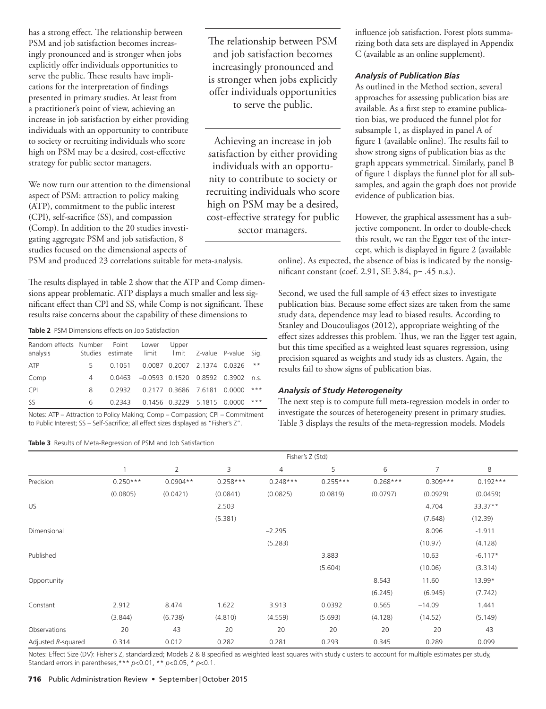has a strong effect. The relationship between PSM and job satisfaction becomes increasingly pronounced and is stronger when jobs explicitly offer individuals opportunities to serve the public. These results have implications for the interpretation of findings presented in primary studies. At least from a practitioner's point of view, achieving an increase in job satisfaction by either providing individuals with an opportunity to contribute to society or recruiting individuals who score high on PSM may be a desired, cost-effective strategy for public sector managers.

We now turn our attention to the dimensional aspect of PSM: attraction to policy making (ATP), commitment to the public interest (CPI), self-sacrifice (SS), and compassion (Comp). In addition to the 20 studies investigating aggregate PSM and job satisfaction, 8 studies focused on the dimensional aspects of

PSM and produced 23 correlations suitable for meta-analysis.

The results displayed in table 2 show that the ATP and Comp dimensions appear problematic. ATP displays a much smaller and less significant effect than CPI and SS, while Comp is not significant. These results raise concerns about the capability of these dimensions to

**Table 2** PSM Dimensions effects on Job Satisfaction

| Random effects Number Point<br>analysis |    | Studies estimate limit limit Z-value P-value Sig. | Lower                                              | Upper                |                             |        |       |
|-----------------------------------------|----|---------------------------------------------------|----------------------------------------------------|----------------------|-----------------------------|--------|-------|
| ATP                                     | 5. | 0.1051                                            |                                                    |                      | 0.0087 0.2007 2.1374 0.0326 |        | $**$  |
| Comp                                    | 4  |                                                   | $0.0463$ $-0.0593$ $0.1520$ $0.8592$ $0.3902$ n.s. |                      |                             |        |       |
| <b>CPI</b>                              | 8  | 0.2932                                            |                                                    | 0.2177 0.3686 7.6181 |                             | 0.0000 | $***$ |
| <b>SS</b>                               | 6  | 0.2343                                            |                                                    |                      | 0.1456 0.3229 5.1815 0.0000 |        | $***$ |

Notes: ATP – Attraction to Policy Making; Comp – Compassion; CPI – Commitment to Public Interest; SS - Self-Sacrifice; all effect sizes displayed as "Fisher's Z".

| Table 3 Results of Meta-Regression of PSM and Job Satisfaction |  |
|----------------------------------------------------------------|--|
|----------------------------------------------------------------|--|

The relationship between PSM and job satisfaction becomes increasingly pronounced and is stronger when jobs explicitly offer individuals opportunities to serve the public.

Achieving an increase in job satisfaction by either providing individuals with an opportunity to contribute to society or recruiting individuals who score high on PSM may be a desired, cost-effective strategy for public sector managers.

influence job satisfaction. Forest plots summarizing both data sets are displayed in Appendix C (available as an online supplement).

# *Analysis of Publication Bias*

As outlined in the Method section, several approaches for assessing publication bias are available. As a first step to examine publication bias, we produced the funnel plot for subsample 1, as displayed in panel A of figure 1 (available online). The results fail to show strong signs of publication bias as the graph appears symmetrical. Similarly, panel B of figure 1 displays the funnel plot for all subsamples, and again the graph does not provide evidence of publication bias.

However, the graphical assessment has a subjective component. In order to double-check this result, we ran the Egger test of the intercept, which is displayed in figure 2 (available

online). As expected, the absence of bias is indicated by the nonsignificant constant (coef. 2.91, SE 3.84, p= .45 n.s.).

Second, we used the full sample of 43 effect sizes to investigate publication bias. Because some effect sizes are taken from the same study data, dependence may lead to biased results. According to Stanley and Doucouliagos (2012), appropriate weighting of the effect sizes addresses this problem. Thus, we ran the Egger test again, but this time specified as a weighted least squares regression, using precision squared as weights and study ids as clusters. Again, the results fail to show signs of publication bias.

# *Analysis of Study Heterogeneity*

The next step is to compute full meta-regression models in order to investigate the sources of heterogeneity present in primary studies. Table 3 displays the results of the meta-regression models. Models

|                    | Fisher's Z (Std) |                |            |            |            |            |            |            |
|--------------------|------------------|----------------|------------|------------|------------|------------|------------|------------|
|                    |                  | $\overline{2}$ | 3          | 4          | 5          | 6          | 7          | 8          |
| Precision          | $0.250***$       | $0.0904**$     | $0.258***$ | $0.248***$ | $0.255***$ | $0.268***$ | $0.309***$ | $0.192***$ |
|                    | (0.0805)         | (0.0421)       | (0.0841)   | (0.0825)   | (0.0819)   | (0.0797)   | (0.0929)   | (0.0459)   |
| US                 |                  |                | 2.503      |            |            |            | 4.704      | $33.37**$  |
|                    |                  |                | (5.381)    |            |            |            | (7.648)    | (12.39)    |
| Dimensional        |                  |                |            | $-2.295$   |            |            | 8.096      | $-1.911$   |
|                    |                  |                |            | (5.283)    |            |            | (10.97)    | (4.128)    |
| Published          |                  |                |            |            | 3.883      |            | 10.63      | $-6.117*$  |
|                    |                  |                |            |            | (5.604)    |            | (10.06)    | (3.314)    |
| Opportunity        |                  |                |            |            |            | 8.543      | 11.60      | 13.99*     |
|                    |                  |                |            |            |            | (6.245)    | (6.945)    | (7.742)    |
| Constant           | 2.912            | 8.474          | 1.622      | 3.913      | 0.0392     | 0.565      | $-14.09$   | 1.441      |
|                    | (3.844)          | (6.738)        | (4.810)    | (4.559)    | (5.693)    | (4.128)    | (14.52)    | (5.149)    |
| Observations       | 20               | 43             | 20         | 20         | 20         | 20         | 20         | 43         |
| Adjusted R-squared | 0.314            | 0.012          | 0.282      | 0.281      | 0.293      | 0.345      | 0.289      | 0.099      |

Notes: Effect Size (DV): Fisher's Z, standardized; Models 2 & 8 specified as weighted least squares with study clusters to account for multiple estimates per study, Standard errors in parentheses,\*\*\* *p*<0.01, \*\* *p*<0.05, \* *p*<0.1.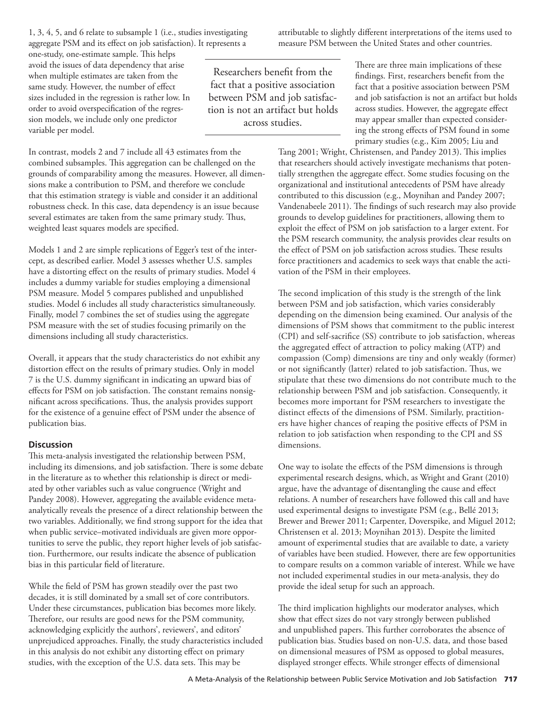1, 3, 4, 5, and 6 relate to subsample 1 (i.e., studies investigating aggregate PSM and its effect on job satisfaction). It represents a

one-study, one-estimate sample. This helps avoid the issues of data dependency that arise when multiple estimates are taken from the same study. However, the number of effect sizes included in the regression is rather low. In order to avoid overspecification of the regression models, we include only one predictor variable per model.

In contrast, models 2 and 7 include all 43 estimates from the combined subsamples. This aggregation can be challenged on the grounds of comparability among the measures. However, all dimensions make a contribution to PSM, and therefore we conclude that this estimation strategy is viable and consider it an additional robustness check. In this case, data dependency is an issue because several estimates are taken from the same primary study. Thus, weighted least squares models are specified.

Models 1 and 2 are simple replications of Egger's test of the intercept, as described earlier. Model 3 assesses whether U.S. samples have a distorting effect on the results of primary studies. Model 4 includes a dummy variable for studies employing a dimensional PSM measure. Model 5 compares published and unpublished studies. Model 6 includes all study characteristics simultaneously. Finally, model 7 combines the set of studies using the aggregate PSM measure with the set of studies focusing primarily on the dimensions including all study characteristics.

Overall, it appears that the study characteristics do not exhibit any distortion effect on the results of primary studies. Only in model 7 is the U.S. dummy significant in indicating an upward bias of effects for PSM on job satisfaction. The constant remains nonsignificant across specifications. Thus, the analysis provides support for the existence of a genuine effect of PSM under the absence of publication bias.

#### **Discussion**

This meta-analysis investigated the relationship between PSM, including its dimensions, and job satisfaction. There is some debate in the literature as to whether this relationship is direct or mediated by other variables such as value congruence (Wright and Pandey 2008). However, aggregating the available evidence metaanalytically reveals the presence of a direct relationship between the two variables. Additionally, we find strong support for the idea that when public service–motivated individuals are given more opportunities to serve the public, they report higher levels of job satisfaction. Furthermore, our results indicate the absence of publication bias in this particular field of literature.

While the field of PSM has grown steadily over the past two decades, it is still dominated by a small set of core contributors. Under these circumstances, publication bias becomes more likely. Therefore, our results are good news for the PSM community, acknowledging explicitly the authors', reviewers', and editors' unprejudiced approaches. Finally, the study characteristics included in this analysis do not exhibit any distorting effect on primary studies, with the exception of the U.S. data sets. This may be

attributable to slightly different interpretations of the items used to measure PSM between the United States and other countries.

Researchers benefit from the fact that a positive association between PSM and job satisfaction is not an artifact but holds across studies.

There are three main implications of these findings. First, researchers benefit from the fact that a positive association between PSM and job satisfaction is not an artifact but holds across studies. However, the aggregate effect may appear smaller than expected considering the strong effects of PSM found in some primary studies (e.g., Kim 2005; Liu and

Tang 2001; Wright, Christensen, and Pandey 2013). This implies that researchers should actively investigate mechanisms that potentially strengthen the aggregate effect. Some studies focusing on the organizational and institutional antecedents of PSM have already contributed to this discussion (e.g., Moynihan and Pandey 2007; Vandenabeele 2011). The findings of such research may also provide grounds to develop guidelines for practitioners, allowing them to exploit the effect of PSM on job satisfaction to a larger extent. For the PSM research community, the analysis provides clear results on the effect of PSM on job satisfaction across studies. These results force practitioners and academics to seek ways that enable the activation of the PSM in their employees.

The second implication of this study is the strength of the link between PSM and job satisfaction, which varies considerably depending on the dimension being examined. Our analysis of the dimensions of PSM shows that commitment to the public interest (CPI) and self-sacrifice (SS) contribute to job satisfaction, whereas the aggregated effect of attraction to policy making (ATP) and compassion (Comp) dimensions are tiny and only weakly (former) or not significantly (latter) related to job satisfaction. Thus, we stipulate that these two dimensions do not contribute much to the relationship between PSM and job satisfaction. Consequently, it becomes more important for PSM researchers to investigate the distinct effects of the dimensions of PSM. Similarly, practitioners have higher chances of reaping the positive effects of PSM in relation to job satisfaction when responding to the CPI and SS dimensions.

One way to isolate the effects of the PSM dimensions is through experimental research designs, which, as Wright and Grant (2010) argue, have the advantage of disentangling the cause and effect relations. A number of researchers have followed this call and have used experimental designs to investigate PSM (e.g., Bellé 2013; Brewer and Brewer 2011; Carpenter, Doverspike, and Miguel 2012; Christensen et al. 2013; Moynihan 2013). Despite the limited amount of experimental studies that are available to date, a variety of variables have been studied. However, there are few opportunities to compare results on a common variable of interest. While we have not included experimental studies in our meta-analysis, they do provide the ideal setup for such an approach.

The third implication highlights our moderator analyses, which show that effect sizes do not vary strongly between published and unpublished papers. This further corroborates the absence of publication bias. Studies based on non-U.S. data, and those based on dimensional measures of PSM as opposed to global measures, displayed stronger effects. While stronger effects of dimensional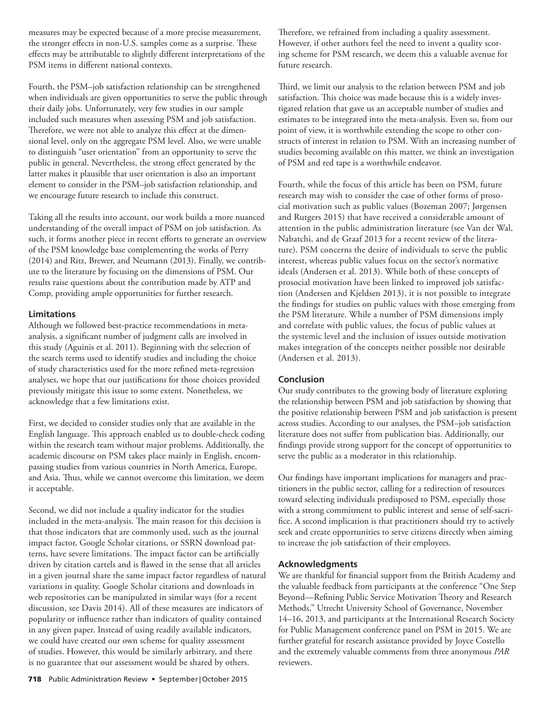measures may be expected because of a more precise measurement, the stronger effects in non-U.S. samples come as a surprise. These effects may be attributable to slightly different interpretations of the PSM items in different national contexts.

Fourth, the PSM–job satisfaction relationship can be strengthened when individuals are given opportunities to serve the public through their daily jobs. Unfortunately, very few studies in our sample included such measures when assessing PSM and job satisfaction. Therefore, we were not able to analyze this effect at the dimensional level, only on the aggregate PSM level. Also, we were unable to distinguish "user orientation" from an opportunity to serve the public in general. Nevertheless, the strong effect generated by the latter makes it plausible that user orientation is also an important element to consider in the PSM–job satisfaction relationship, and we encourage future research to include this construct.

Taking all the results into account, our work builds a more nuanced understanding of the overall impact of PSM on job satisfaction. As such, it forms another piece in recent efforts to generate an overview of the PSM knowledge base complementing the works of Perry (2014) and Ritz, Brewer, and Neumann (2013). Finally, we contribute to the literature by focusing on the dimensions of PSM. Our results raise questions about the contribution made by ATP and Comp, providing ample opportunities for further research.

#### **Limitations**

Although we followed best-practice recommendations in metaanalysis, a significant number of judgment calls are involved in this study (Aguinis et al. 2011). Beginning with the selection of the search terms used to identify studies and including the choice of study characteristics used for the more refined meta-regression analyses, we hope that our justifications for those choices provided previously mitigate this issue to some extent. Nonetheless, we acknowledge that a few limitations exist.

First, we decided to consider studies only that are available in the English language. This approach enabled us to double-check coding within the research team without major problems. Additionally, the academic discourse on PSM takes place mainly in English, encompassing studies from various countries in North America, Europe, and Asia. Thus, while we cannot overcome this limitation, we deem it acceptable.

Second, we did not include a quality indicator for the studies included in the meta-analysis. The main reason for this decision is that those indicators that are commonly used, such as the journal impact factor, Google Scholar citations, or SSRN download patterns, have severe limitations. The impact factor can be artificially driven by citation cartels and is flawed in the sense that all articles in a given journal share the same impact factor regardless of natural variations in quality. Google Scholar citations and downloads in web repositories can be manipulated in similar ways (for a recent discussion, see Davis 2014). All of these measures are indicators of popularity or influence rather than indicators of quality contained in any given paper. Instead of using readily available indicators, we could have created our own scheme for quality assessment of studies. However, this would be similarly arbitrary, and there is no guarantee that our assessment would be shared by others.

Therefore, we refrained from including a quality assessment. However, if other authors feel the need to invent a quality scoring scheme for PSM research, we deem this a valuable avenue for future research.

Third, we limit our analysis to the relation between PSM and job satisfaction. This choice was made because this is a widely investigated relation that gave us an acceptable number of studies and estimates to be integrated into the meta-analysis. Even so, from our point of view, it is worthwhile extending the scope to other constructs of interest in relation to PSM. With an increasing number of studies becoming available on this matter, we think an investigation of PSM and red tape is a worthwhile endeavor.

Fourth, while the focus of this article has been on PSM, future research may wish to consider the case of other forms of prosocial motivation such as public values (Bozeman 2007; Jørgensen and Rutgers 2015) that have received a considerable amount of attention in the public administration literature (see Van der Wal, Nabatchi, and de Graaf 2013 for a recent review of the literature). PSM concerns the desire of individuals to serve the public interest, whereas public values focus on the sector's normative ideals (Andersen et al. 2013). While both of these concepts of prosocial motivation have been linked to improved job satisfaction (Andersen and Kjeldsen 2013), it is not possible to integrate the findings for studies on public values with those emerging from the PSM literature. While a number of PSM dimensions imply and correlate with public values, the focus of public values at the systemic level and the inclusion of issues outside motivation makes integration of the concepts neither possible nor desirable (Andersen et al. 2013).

# **Conclusion**

Our study contributes to the growing body of literature exploring the relationship between PSM and job satisfaction by showing that the positive relationship between PSM and job satisfaction is present across studies. According to our analyses, the PSM–job satisfaction literature does not suffer from publication bias. Additionally, our findings provide strong support for the concept of opportunities to serve the public as a moderator in this relationship.

Our findings have important implications for managers and practitioners in the public sector, calling for a redirection of resources toward selecting individuals predisposed to PSM, especially those with a strong commitment to public interest and sense of self-sacrifice. A second implication is that practitioners should try to actively seek and create opportunities to serve citizens directly when aiming to increase the job satisfaction of their employees.

# **Acknowledgments**

We are thankful for financial support from the British Academy and the valuable feedback from participants at the conference "One Step Beyond—Refining Public Service Motivation Theory and Research Methods," Utrecht University School of Governance, November 14–16, 2013, and participants at the International Research Society for Public Management conference panel on PSM in 2015. We are further grateful for research assistance provided by Joyce Costello and the extremely valuable comments from three anonymous *PAR* reviewers.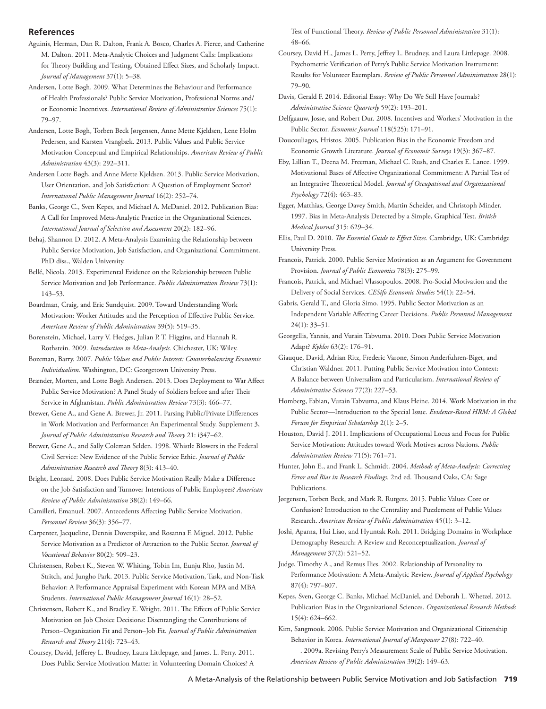#### **References**

Aguinis, Herman, Dan R. Dalton, Frank A. Bosco, Charles A. Pierce, and Catherine M. Dalton. 2011. Meta-Analytic Choices and Judgment Calls: Implications for Theory Building and Testing, Obtained Effect Sizes, and Scholarly Impact. *Journal of Management* 37(1): 5–38.

Andersen, Lotte Bøgh. 2009. What Determines the Behaviour and Performance of Health Professionals? Public Service Motivation, Professional Norms and/ or Economic Incentives. *International Review of Administrative Sciences* 75(1): 79–97.

- Andersen, Lotte Bøgh, Torben Beck Jørgensen, Anne Mette Kjeldsen, Lene Holm Pedersen, and Karsten Vrangbæk. 2013. Public Values and Public Service Motivation Conceptual and Empirical Relationships. *American Review of Public Administration* 43(3): 292–311.
- Andersen Lotte Bøgh, and Anne Mette Kjeldsen. 2013. Public Service Motivation, User Orientation, and Job Satisfaction: A Question of Employment Sector? *International Public Management Journal* 16(2): 252–74.
- Banks, George C., Sven Kepes, and Michael A. McDaniel. 2012. Publication Bias: A Call for Improved Meta-Analytic Practice in the Organizational Sciences. *International Journal of Selection and Assessment* 20(2): 182–96.

Behaj, Shannon D. 2012. A Meta-Analysis Examining the Relationship between Public Service Motivation, Job Satisfaction, and Organizational Commitment. PhD diss., Walden University.

Bellé, Nicola. 2013. Experimental Evidence on the Relationship between Public Service Motivation and Job Performance. *Public Administration Review* 73(1): 143–53.

Boardman, Craig, and Eric Sundquist. 2009. Toward Understanding Work Motivation: Worker Attitudes and the Perception of Effective Public Service. *American Review of Public Administration* 39(5): 519–35.

Borenstein, Michael, Larry V. Hedges, Julian P. T. Higgins, and Hannah R. Rothstein. 2009. *Introduction to Meta-Analysis.* Chichester, UK: Wiley.

Bozeman, Barry. 2007. *Public Values and Public Interest: Counterbalancing Economic Individualism.* Washington, DC: Georgetown University Press.

Brænder, Morten, and Lotte Bøgh Andersen. 2013. Does Deployment to War Affect Public Service Motivation? A Panel Study of Soldiers before and after Their Service in Afghanistan. *Public Administration Review* 73(3): 466–77.

Brewer, Gene A., and Gene A. Brewer, Jr. 2011. Parsing Public/Private Differences in Work Motivation and Performance: An Experimental Study. Supplement 3, *Journal of Public Administration Research and Theory* 21: i347–62.

Brewer, Gene A., and Sally Coleman Selden. 1998. Whistle Blowers in the Federal Civil Service: New Evidence of the Public Service Ethic. *Journal of Public*  Administration Research and Theory 8(3): 413-40.

Bright, Leonard. 2008. Does Public Service Motivation Really Make a Difference on the Job Satisfaction and Turnover Intentions of Public Employees? *American Review of Public Administration* 38(2): 149–66.

Camilleri, Emanuel. 2007. Antecedents Affecting Public Service Motivation. *Personnel Review* 36(3): 356–77.

Carpenter, Jacqueline, Dennis Doverspike, and Rosanna F. Miguel. 2012. Public Service Motivation as a Predictor of Attraction to the Public Sector. *Journal of Vocational Behavior* 80(2): 509–23.

Christensen, Robert K., Steven W. Whiting, Tobin Im, Eunju Rho, Justin M. Stritch, and Jungho Park. 2013. Public Service Motivation, Task, and Non-Task Behavior: A Performance Appraisal Experiment with Korean MPA and MBA Students. *International Public Management Journal* 16(1): 28–52.

Christensen, Robert K., and Bradley E. Wright. 2011. The Effects of Public Service Motivation on Job Choice Decisions: Disentangling the Contributions of Person–Organization Fit and Person–Job Fit. *Journal of Public Administration Research and Th eory* 21(4): 723–43.

Coursey, David, Jefferey L. Brudney, Laura Littlepage, and James. L. Perry. 2011. Does Public Service Motivation Matter in Volunteering Domain Choices? A Test of Functional Theory. *Review of Public Personnel Administration* 31(1): 48–66.

- Coursey, David H., James L. Perry, Jeffrey L. Brudney, and Laura Littlepage. 2008. Psychometric Verification of Perry's Public Service Motivation Instrument: Results for Volunteer Exemplars. *Review of Public Personnel Administration* 28(1): 79–90.
- Davis, Gerald F. 2014. Editorial Essay: Why Do We Still Have Journals? *Administrative Science Quarterly* 59(2): 193–201.
- Delfgaauw, Josse, and Robert Dur. 2008. Incentives and Workers' Motivation in the Public Sector. *Economic Journal* 118(525): 171–91.

Doucouliagos, Hristos. 2005. Publication Bias in the Economic Freedom and Economic Growth Literature. *Journal of Economic Surveys* 19(3): 367–87.

Eby, Lillian T., Deena M. Freeman, Michael C. Rush, and Charles E. Lance. 1999. Motivational Bases of Affective Organizational Commitment: A Partial Test of an Integrative Theoretical Model. *Journal of Occupational and Organizational Psychology* 72(4): 463–83.

Egger, Matthias, George Davey Smith, Martin Scheider, and Christoph Minder. 1997. Bias in Meta-Analysis Detected by a Simple, Graphical Test. *British Medical Journal* 315: 629–34.

Ellis, Paul D. 2010. *The Essential Guide to Effect Sizes*. Cambridge, UK: Cambridge University Press.

- Francois, Patrick. 2000. Public Service Motivation as an Argument for Government Provision. *Journal of Public Economics* 78(3): 275–99.
- Francois, Patrick, and Michael Vlassopoulos. 2008. Pro-Social Motivation and the Delivery of Social Services. *CESifo Economic Studies* 54(1): 22–54.
- Gabris, Gerald T., and Gloria Simo. 1995. Public Sector Motivation as an Independent Variable Affecting Career Decisions. Public Personnel Management 24(1): 33–51.

Georgellis, Yannis, and Vurain Tabvuma. 2010. Does Public Service Motivation Adapt? *Kyklos* 63(2): 176–91.

Giauque, David, Adrian Ritz, Frederic Varone, Simon Anderfuhren-Biget, and Christian Waldner. 2011. Putting Public Service Motivation into Context: A Balance between Universalism and Particularism. *International Review of Administrative Sciences* 77(2): 227–53.

Homberg, Fabian, Vurain Tabvuma, and Klaus Heine. 2014. Work Motivation in the Public Sector—Introduction to the Special Issue. *Evidence-Based HRM: A Global Forum for Empirical Scholarship* 2(1): 2–5.

Houston, David J. 2011. Implications of Occupational Locus and Focus for Public Service Motivation: Attitudes toward Work Motives across Nations. *Public Administration Review* 71(5): 761–71.

Hunter, John E., and Frank L. Schmidt. 2004. *Methods of Meta-Analysis: Correcting*  Error and Bias in Research Findings. 2nd ed. Thousand Oaks, CA: Sage Publications.

Jørgensen, Torben Beck, and Mark R. Rutgers. 2015. Public Values Core or Confusion? Introduction to the Centrality and Puzzlement of Public Values Research. *American Review of Public Administration* 45(1): 3–12.

Joshi, Aparna, Hui Liao, and Hyuntak Roh. 2011. Bridging Domains in Workplace Demography Research: A Review and Reconceptualization. *Journal of Management* 37(2): 521–52.

- Judge, Timothy A., and Remus Ilies. 2002. Relationship of Personality to Performance Motivation: A Meta-Analytic Review. *Journal of Applied Psychology* 87(4): 797–807.
- Kepes, Sven, George C. Banks, Michael McDaniel, and Deborah L. Whetzel. 2012. Publication Bias in the Organizational Sciences. *Organizational Research Methods* 15(4): 624–662.

Kim, Sangmook. 2006. Public Service Motivation and Organizational Citizenship Behavior in Korea. *International Journal of Manpower* 27(8): 722–40.

. 2009a. Revising Perry's Measurement Scale of Public Service Motivation. *American Review of Public Administration* 39(2): 149–63.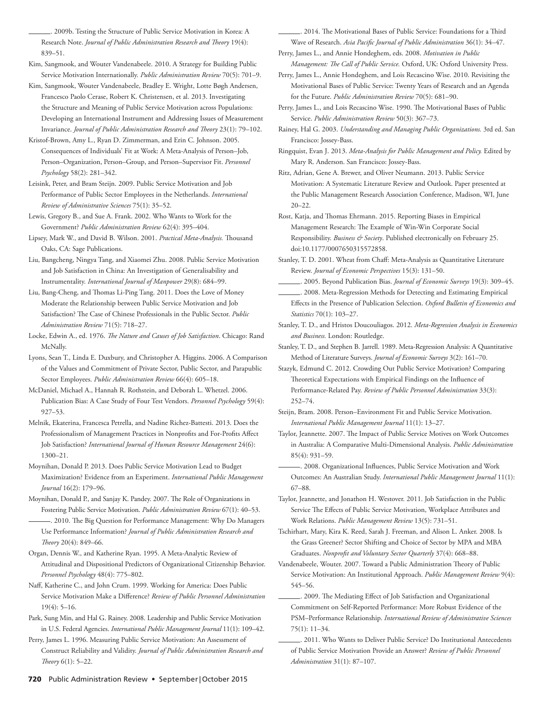. 2009b. Testing the Structure of Public Service Motivation in Korea: A Research Note. *Journal of Public Administration Research and Theory* 19(4): 839–51.

Kim, Sangmook, and Wouter Vandenabeele. 2010. A Strategy for Building Public Service Motivation Internationally. *Public Administration Review* 70(5): 701–9.

Kim, Sangmook, Wouter Vandenabeele, Bradley E. Wright, Lotte Bøgh Andersen, Francesco Paolo Cerase, Robert K. Christensen, et al. 2013. Investigating the Structure and Meaning of Public Service Motivation across Populations: Developing an International Instrument and Addressing Issues of Measurement Invariance. *Journal of Public Administration Research and Theory* 23(1): 79–102.

Kristof-Brown, Amy L., Ryan D. Zimmerman, and Erin C. Johnson. 2005. Consequences of Individuals' Fit at Work: A Meta-Analysis of Person–Job, Person–Organization, Person–Group, and Person–Supervisor Fit. *Personnel Psychology* 58(2): 281–342.

Leisink, Peter, and Bram Steijn. 2009. Public Service Motivation and Job Performance of Public Sector Employees in the Netherlands. *International Review of Administrative Sciences* 75(1): 35–52.

Lewis, Gregory B., and Sue A. Frank. 2002. Who Wants to Work for the Government? *Public Administration Review* 62(4): 395–404.

Lipsey, Mark W., and David B. Wilson. 2001. *Practical Meta-Analysis*. Thousand Oaks, CA: Sage Publications.

Liu, Bangcheng, Ningya Tang, and Xiaomei Zhu. 2008. Public Service Motivation and Job Satisfaction in China: An Investigation of Generalisability and Instrumentality. *International Journal of Manpower* 29(8): 684–99.

Liu, Bang-Cheng, and Thomas Li-Ping Tang. 2011. Does the Love of Money Moderate the Relationship between Public Service Motivation and Job Satisfaction? The Case of Chinese Professionals in the Public Sector. *Public Administration Review* 71(5): 718–27.

Locke, Edwin A., ed. 1976. *The Nature and Causes of Job Satisfaction*. Chicago: Rand McNally.

Lyons, Sean T., Linda E. Duxbury, and Christopher A. Higgins. 2006. A Comparison of the Values and Commitment of Private Sector, Public Sector, and Parapublic Sector Employees. *Public Administration Review* 66(4): 605–18.

McDaniel, Michael A., Hannah R. Rothstein, and Deborah L. Whetzel. 2006. Publication Bias: A Case Study of Four Test Vendors. *Personnel Psychology* 59(4): 927–53.

Melnik, Ekaterina, Francesca Petrella, and Nadine Richez-Battesti. 2013. Does the Professionalism of Management Practices in Nonprofits and For-Profits Affect Job Satisfaction? *International Journal of Human Resource Management* 24(6): 1300–21.

Moynihan, Donald P. 2013. Does Public Service Motivation Lead to Budget Maximization? Evidence from an Experiment. *International Public Management Journal* 16(2): 179–96.

Moynihan, Donald P., and Sanjay K. Pandey. 2007. The Role of Organizations in Fostering Public Service Motivation. *Public Administration Review* 67(1): 40–53. -. 2010. The Big Question for Performance Management: Why Do Managers

Use Performance Information? *Journal of Public Administration Research and Th eory* 20(4): 849–66.

Organ, Dennis W., and Katherine Ryan. 1995. A Meta-Analytic Review of Attitudinal and Dispositional Predictors of Organizational Citizenship Behavior. *Personnel Psychology* 48(4): 775–802.

Naff, Katherine C., and John Crum. 1999. Working for America: Does Public Service Motivation Make a Difference? Review of Public Personnel Administration 19(4): 5–16.

Park, Sung Min, and Hal G. Rainey. 2008. Leadership and Public Service Motivation in U.S. Federal Agencies. *International Public Management Journal* 11(1): 109–42.

Perry, James L. 1996. Measuring Public Service Motivation: An Assessment of Construct Reliability and Validity. *Journal of Public Administration Research and Th eory* 6(1): 5–22.

.. 2014. The Motivational Bases of Public Service: Foundations for a Third Wave of Research. Asia Pacific Journal of Public Administration 36(1): 34-47.

Perry, James L., and Annie Hondeghem, eds. 2008. *Motivation in Public* 

*Management: The Call of Public Service.* Oxford, UK: Oxford University Press. Perry, James L., Annie Hondeghem, and Lois Recascino Wise. 2010. Revisiting the Motivational Bases of Public Service: Twenty Years of Research and an Agenda for the Future. *Public Administration Review* 70(5): 681–90.

Perry, James L., and Lois Recascino Wise. 1990. The Motivational Bases of Public Service. *Public Administration Review* 50(3): 367–73.

Rainey, Hal G. 2003. *Understanding and Managing Public Organizations.* 3rd ed. San Francisco: Jossey-Bass.

Ringquist, Evan J. 2013. *Meta-Analysis for Public Management and Policy.* Edited by Mary R. Anderson. San Francisco: Jossey-Bass.

Ritz, Adrian, Gene A. Brewer, and Oliver Neumann. 2013. Public Service Motivation: A Systematic Literature Review and Outlook. Paper presented at the Public Management Research Association Conference, Madison, WI, June 20–22.

Rost, Katja, and Thomas Ehrmann. 2015. Reporting Biases in Empirical Management Research: The Example of Win-Win Corporate Social Responsibility. *Business & Society*. Published electronically on February 25. doi:10.1177/0007650315572858.

Stanley, T. D. 2001. Wheat from Chaff: Meta-Analysis as Quantitative Literature Review. *Journal of Economic Perspectives* 15(3): 131–50.

. 2005. Beyond Publication Bias. *Journal of Economic Surveys* 19(3): 309–45.

. 2008. Meta-Regression Methods for Detecting and Estimating Empirical Effects in the Presence of Publication Selection. Oxford Bulletin of Economics and *Statistics* 70(1): 103–27.

Stanley, T. D., and Hristos Doucouliagos. 2012. *Meta-Regression Analysis in Economics and Business.* London: Routledge.

Stanley, T. D., and Stephen B. Jarrell. 1989. Meta-Regression Analysis: A Quantitative Method of Literature Surveys. *Journal of Economic Surveys* 3(2): 161–70.

Stazyk, Edmund C. 2012. Crowding Out Public Service Motivation? Comparing Theoretical Expectations with Empirical Findings on the Influence of Performance-Related Pay. *Review of Public Personnel Administration* 33(3): 252–74.

Steijn, Bram. 2008. Person–Environment Fit and Public Service Motivation. *International Public Management Journal* 11(1): 13–27.

Taylor, Jeannette. 2007. The Impact of Public Service Motives on Work Outcomes in Australia: A Comparative Multi-Dimensional Analysis. *Public Administration* 85(4): 931–59.

-. 2008. Organizational Influences, Public Service Motivation and Work Outcomes: An Australian Study. *International Public Management Journal* 11(1): 67–88.

Taylor, Jeannette, and Jonathon H. Westover. 2011. Job Satisfaction in the Public Service The Effects of Public Service Motivation, Workplace Attributes and Work Relations. *Public Management Review* 13(5): 731–51.

Tschirhart, Mary, Kira K. Reed, Sarah J. Freeman, and Alison L. Anker. 2008. Is the Grass Greener? Sector Shifting and Choice of Sector by MPA and MBA Graduates. *Nonprofit and Voluntary Sector Quarterly* 37(4): 668-88.

Vandenabeele, Wouter. 2007. Toward a Public Administration Theory of Public Service Motivation: An Institutional Approach. *Public Management Review* 9(4): 545–56.

.. 2009. The Mediating Effect of Job Satisfaction and Organizational Commitment on Self-Reported Performance: More Robust Evidence of the PSM–Performance Relationship. *International Review of Administrative Sciences* 75(1): 11–34.

. 2011. Who Wants to Deliver Public Service? Do Institutional Antecedents of Public Service Motivation Provide an Answer? *Review of Public Personnel Administration* 31(1): 87–107.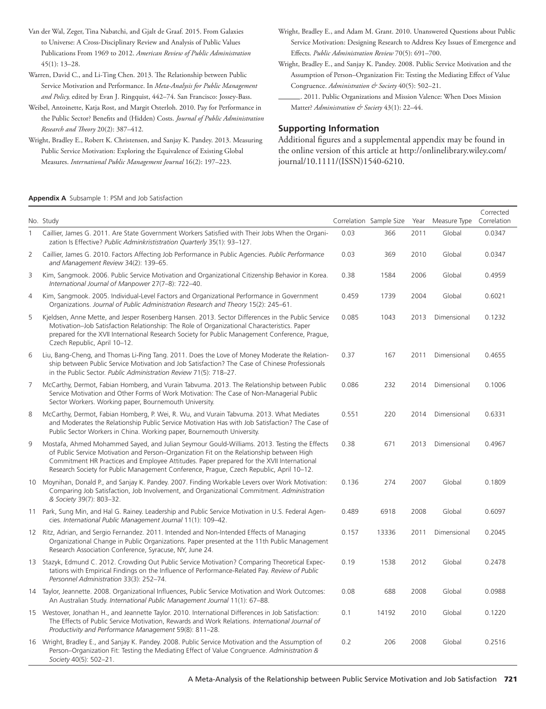- Van der Wal, Zeger, Tina Nabatchi, and Gjalt de Graaf. 2015. From Galaxies to Universe: A Cross-Disciplinary Review and Analysis of Public Values Publications From 1969 to 2012. *American Review of Public Administration*  45(1): 13–28.
- Warren, David C., and Li-Ting Chen. 2013. The Relationship between Public Service Motivation and Performance. In *Meta-Analysis for Public Management and Policy,* edited by Evan J. Ringquist, 442–74. San Francisco: Jossey-Bass.
- Weibel, Antoinette, Katja Rost, and Margit Osterloh. 2010. Pay for Performance in the Public Sector? Benefits and (Hidden) Costs. *Journal of Public Administration Research and Theory* 20(2): 387-412.
- Wright, Bradley E., Robert K. Christensen, and Sanjay K. Pandey. 2013. Measuring Public Service Motivation: Exploring the Equivalence of Existing Global Measures. *International Public Management Journal* 16(2): 197–223.
- Wright, Bradley E., and Adam M. Grant. 2010. Unanswered Questions about Public Service Motivation: Designing Research to Address Key Issues of Emergence and Eff ects. *Public Administration Review* 70(5): 691–700.
- Wright, Bradley E., and Sanjay K. Pandey. 2008. Public Service Motivation and the Assumption of Person-Organization Fit: Testing the Mediating Effect of Value Congruence. *Administration & Society* 40(5): 502–21.
	- . 2011. Public Organizations and Mission Valence: When Does Mission Matter? *Administration & Society* 43(1): 22–44.

# **Supporting Information**

Additional figures and a supplemental appendix may be found in the online version of this article at http://onlinelibrary.wiley.com/ journal/10.1111/(ISSN)1540-6210.

#### **Appendix A** Subsample 1: PSM and Job Satisfaction

|                | No. Study                                                                                                                                                                                                                                                                                                                                                                        |       | Correlation Sample Size | Year | Measure Type | Corrected<br>Correlation |
|----------------|----------------------------------------------------------------------------------------------------------------------------------------------------------------------------------------------------------------------------------------------------------------------------------------------------------------------------------------------------------------------------------|-------|-------------------------|------|--------------|--------------------------|
| 1              | Caillier, James G. 2011. Are State Government Workers Satisfied with Their Jobs When the Organi-<br>zation Is Effective? Public Adminkrististration Quarterly 35(1): 93-127.                                                                                                                                                                                                     | 0.03  | 366                     | 2011 | Global       | 0.0347                   |
| 2              | Caillier, James G. 2010. Factors Affecting Job Performance in Public Agencies. Public Performance<br>and Management Review 34(2): 139-65.                                                                                                                                                                                                                                        | 0.03  | 369                     | 2010 | Global       | 0.0347                   |
| 3              | Kim, Sangmook. 2006. Public Service Motivation and Organizational Citizenship Behavior in Korea.<br>International Journal of Manpower 27(7-8): 722-40.                                                                                                                                                                                                                           | 0.38  | 1584                    | 2006 | Global       | 0.4959                   |
| $\overline{4}$ | Kim, Sangmook. 2005. Individual-Level Factors and Organizational Performance in Government<br>Organizations. Journal of Public Administration Research and Theory 15(2): 245–61.                                                                                                                                                                                                 | 0.459 | 1739                    | 2004 | Global       | 0.6021                   |
| 5              | Kjeldsen, Anne Mette, and Jesper Rosenberg Hansen. 2013. Sector Differences in the Public Service<br>Motivation-Job Satisfaction Relationship: The Role of Organizational Characteristics. Paper<br>prepared for the XVII International Research Society for Public Management Conference, Prague,<br>Czech Republic, April 10-12.                                               | 0.085 | 1043                    | 2013 | Dimensional  | 0.1232                   |
| 6              | Liu, Bang-Cheng, and Thomas Li-Ping Tang. 2011. Does the Love of Money Moderate the Relation-<br>ship between Public Service Motivation and Job Satisfaction? The Case of Chinese Professionals<br>in the Public Sector. Public Administration Review 71(5): 718–27.                                                                                                             | 0.37  | 167                     | 2011 | Dimensional  | 0.4655                   |
| 7              | McCarthy, Dermot, Fabian Homberg, and Vurain Tabvuma. 2013. The Relationship between Public<br>Service Motivation and Other Forms of Work Motivation: The Case of Non-Managerial Public<br>Sector Workers. Working paper, Bournemouth University.                                                                                                                                | 0.086 | 232                     | 2014 | Dimensional  | 0.1006                   |
| 8              | McCarthy, Dermot, Fabian Homberg, P. Wei, R. Wu, and Vurain Tabvuma. 2013. What Mediates<br>and Moderates the Relationship Public Service Motivation Has with Job Satisfaction? The Case of<br>Public Sector Workers in China. Working paper, Bournemouth University.                                                                                                            | 0.551 | 220                     | 2014 | Dimensional  | 0.6331                   |
| 9              | Mostafa, Ahmed Mohammed Sayed, and Julian Seymour Gould-Williams. 2013. Testing the Effects<br>of Public Service Motivation and Person-Organization Fit on the Relationship between High<br>Commitment HR Practices and Employee Attitudes. Paper prepared for the XVII International<br>Research Society for Public Management Conference, Prague, Czech Republic, April 10-12. | 0.38  | 671                     | 2013 | Dimensional  | 0.4967                   |
|                | 10 Moynihan, Donald P., and Sanjay K. Pandey. 2007. Finding Workable Levers over Work Motivation:<br>Comparing Job Satisfaction, Job Involvement, and Organizational Commitment. Administration<br>& Society 39(7): 803-32.                                                                                                                                                      | 0.136 | 274                     | 2007 | Global       | 0.1809                   |
|                | 11 Park, Sung Min, and Hal G. Rainey. Leadership and Public Service Motivation in U.S. Federal Agen-<br>cies. International Public Management Journal 11(1): 109-42.                                                                                                                                                                                                             | 0.489 | 6918                    | 2008 | Global       | 0.6097                   |
|                | 12 Ritz, Adrian, and Sergio Fernandez. 2011. Intended and Non-Intended Effects of Managing<br>Organizational Change in Public Organizations. Paper presented at the 11th Public Management<br>Research Association Conference, Syracuse, NY, June 24.                                                                                                                            | 0.157 | 13336                   | 2011 | Dimensional  | 0.2045                   |
|                | 13 Stazyk, Edmund C. 2012. Crowding Out Public Service Motivation? Comparing Theoretical Expec-<br>tations with Empirical Findings on the Influence of Performance-Related Pay. Review of Public<br>Personnel Administration 33(3): 252-74.                                                                                                                                      | 0.19  | 1538                    | 2012 | Global       | 0.2478                   |
|                | 14 Taylor, Jeannette. 2008. Organizational Influences, Public Service Motivation and Work Outcomes:<br>An Australian Study. International Public Management Journal 11(1): 67-88.                                                                                                                                                                                                | 0.08  | 688                     | 2008 | Global       | 0.0988                   |
|                | 15 Westover, Jonathan H., and Jeannette Taylor. 2010. International Differences in Job Satisfaction:<br>The Effects of Public Service Motivation, Rewards and Work Relations. International Journal of<br>Productivity and Performance Management 59(8): 811-28.                                                                                                                 | 0.1   | 14192                   | 2010 | Global       | 0.1220                   |
|                | 16 Wright, Bradley E., and Sanjay K. Pandey. 2008. Public Service Motivation and the Assumption of<br>Person-Organization Fit: Testing the Mediating Effect of Value Congruence. Administration &<br>Society 40(5): 502-21.                                                                                                                                                      | 0.2   | 206                     | 2008 | Global       | 0.2516                   |